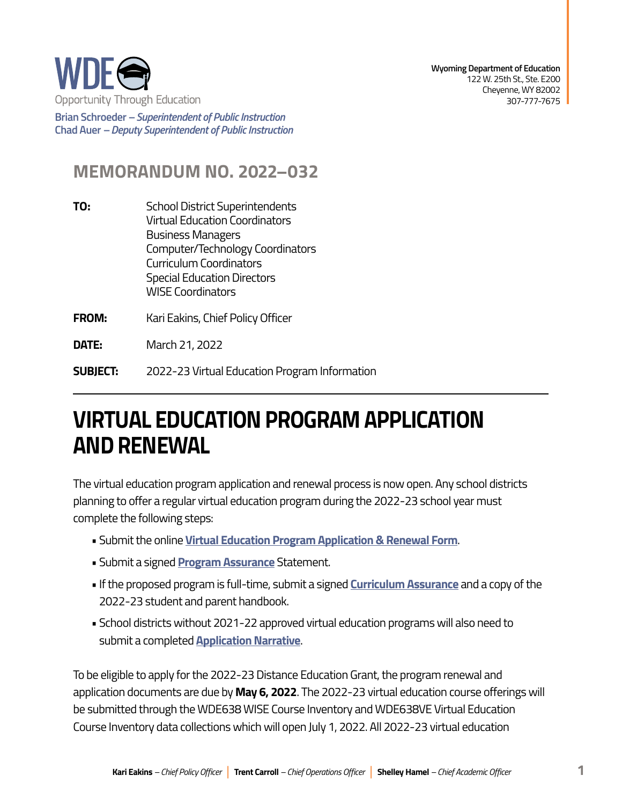

**Brian Schroeder –***Superintendent of Public Instruction*  **Chad Auer** *– Deputy Superintendent of Public Instruction* 

## **MEMORANDUM NO. 2022–032**

- **TO:** School District Superintendents Virtual Education Coordinators Business Managers Computer/Technology Coordinators Curriculum Coordinators Special Education Directors WISE Coordinators
- **FROM:** Kari Eakins, Chief Policy Officer

**DATE:** March 21, 2022

**SUBIECT: SUBJECT:** 2022-23 Virtual Education Program Information

## **VIRTUAL EDUCATION PROGRAM APPLICATION AND RENEWAL**

The virtual education program application and renewal process is now open. Any school districts planning to offer a regular virtual education program during the 2022-23 school year must complete the following steps:

- Submit the online **[Virtual Education Program Application & Renewal Form](https://virtual307.com/virtual-education-application-renewal-form/)**.
- Submit a signed **[Program Assurance](https://virtual307.com/wp-content/uploads/2022-23-Virtual-Education-Program-Statement-of-Assurance.pdf)** Statement.
- If the proposed program is full-time, submit a signed **[Curriculum Assurance](https://virtual307.com/wp-content/uploads/2022-23-Virtual-Education-Program-Curriculum-Assurance.pdf)** and a copy of the 2022-23 student and parent handbook.
- School districts without 2021-22 approved virtual education programs will also need to submit a completed **[Application Narrative](https://virtual307.com/wp-content/uploads/2022-23-Virtual-Education-Program-Application-Narrative.pdf)**.

To be eligible to apply for the 2022-23 Distance Education Grant, the program renewal and application documents are due by **May 6, 2022**. The 2022-23 virtual education course offerings will be submitted through the WDE638 WISE Course Inventory and WDE638VE Virtual Education Course Inventory data collections which will open July 1, 2022. All 2022-23 virtual education